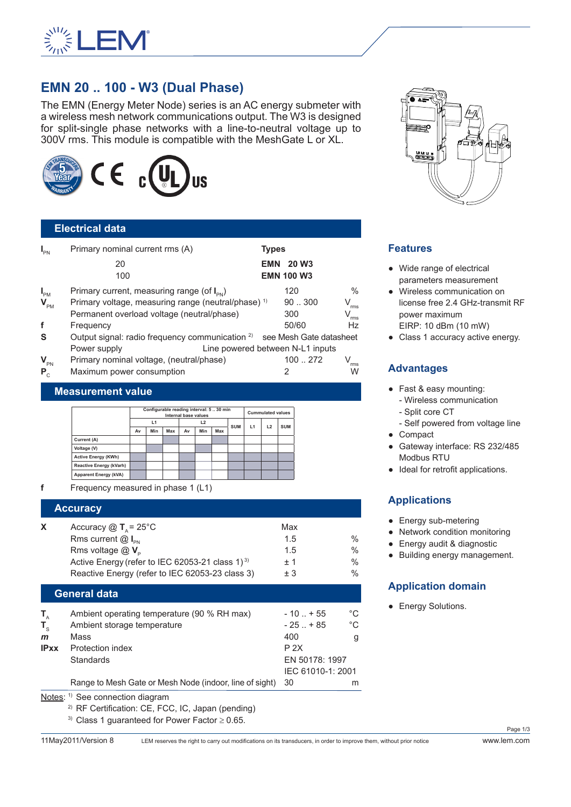

# **EMN 20 .. 100 - W3 (Dual Phase)**

The EMN (Energy Meter Node) series is an AC energy submeter with a wireless mesh network communications output. The W3 is designed for split-single phase networks with a line-to-neutral voltage up to 300V rms. This module is compatible with the MeshGate L or XL.



# **Electrical data**

| $I_{\text{PN}}$ | Primary nominal current rms (A)                                                    | <b>Types</b> |                   |               |
|-----------------|------------------------------------------------------------------------------------|--------------|-------------------|---------------|
|                 | 20                                                                                 | <b>EMN</b>   | <b>20 W3</b>      |               |
|                 | 100                                                                                |              | <b>EMN 100 W3</b> |               |
| $I_{PM}$        | Primary current, measuring range (of $I_{\text{PN}}$ )                             |              | 120               | $\frac{0}{0}$ |
| $V_{\text{PM}}$ | Primary voltage, measuring range (neutral/phase) <sup>1)</sup>                     |              | 90.300            | $\rm V_{rms}$ |
|                 | Permanent overload voltage (neutral/phase)                                         |              | 300               | $\rm V_{rms}$ |
| f               | Frequency                                                                          |              | 50/60             | Hz            |
| S               | Output signal: radio frequency communication <sup>2)</sup> see Mesh Gate datasheet |              |                   |               |
|                 | Line powered between N-L1 inputs<br>Power supply                                   |              |                   |               |
| $V_{\text{PN}}$ | Primary nominal voltage, (neutral/phase)                                           |              | 100  272          | rms           |
| $P_{c}$         | Maximum power consumption                                                          |              | 2                 | $\dddot{W}$   |

#### **Measurement value**

|                                | Configurable reading interval: 5  30 min<br><b>Internal base values</b> |     |     |    | <b>Cummulated values</b> |     |            |    |    |            |
|--------------------------------|-------------------------------------------------------------------------|-----|-----|----|--------------------------|-----|------------|----|----|------------|
|                                | L1                                                                      |     | L2  |    |                          |     |            |    |    |            |
|                                | Av                                                                      | Min | Max | Av | Min                      | Max | <b>SUM</b> | L1 | L2 | <b>SUM</b> |
| Current (A)                    |                                                                         |     |     |    |                          |     |            |    |    |            |
| Voltage (V)                    |                                                                         |     |     |    |                          |     |            |    |    |            |
| <b>Active Energy (KWh)</b>     |                                                                         |     |     |    |                          |     |            |    |    |            |
| <b>Reactive Energy (kVarh)</b> |                                                                         |     |     |    |                          |     |            |    |    |            |
| Apparent Energy (kVA)          |                                                                         |     |     |    |                          |     |            |    |    |            |

**f** Frequency measured in phase 1 (L1)

#### **Accuracy**

| Accuracy $\textcircled{1}$ T <sub>a</sub> = 25 <sup>°</sup> C | Max  |               |
|---------------------------------------------------------------|------|---------------|
| Rms current $@I_{\infty}$                                     | 1.5  | $\frac{0}{0}$ |
| Rms voltage $@V_{p}$                                          | 1.5  | $\frac{0}{0}$ |
| Active Energy (refer to IEC 62053-21 class 1) <sup>3)</sup>   | $+1$ | $\frac{0}{0}$ |
| Reactive Energy (refer to IEC 62053-23 class 3)               | $+3$ | $\frac{0}{0}$ |

#### **General data**

| T,           | Ambient operating temperature (90 % RH max)             | $-10$ $+55$       | $^{\circ}C$ |  |
|--------------|---------------------------------------------------------|-------------------|-------------|--|
| $T_{c}$      | Ambient storage temperature                             | $-25$ $+85$       | °C          |  |
| $\mathbf{m}$ | Mass                                                    | 400               | g           |  |
| <b>IPxx</b>  | Protection index                                        | P 2X              |             |  |
|              | <b>Standards</b>                                        | EN 50178: 1997    |             |  |
|              |                                                         | IEC 61010-1: 2001 |             |  |
|              | Range to Mesh Gate or Mesh Node (indoor, line of sight) | -30               | m           |  |

#### Notes: <sup>1)</sup> See connection diagram

2) RF Certification: CE, FCC, IC, Japan (pending)

<sup>3)</sup> Class 1 quaranteed for Power Factor  $\geq$  0.65.

11May2011/Version 8 LEM reserves the right to carry out modifications on its transducers, in order to improve them, without prior notice www.lem.com



### **Features**

- Wide range of electrical parameters measurement
- Wireless communication on license free 2.4 GHz-transmit RF power maximum EIRP: 10 dBm (10 mW)
- Class 1 accuracy active energy.

### **Advantages**

- Fast & easy mounting: - Wireless communication
- Split core CT
- Self powered from voltage line ● Compact
- Gateway interface: RS 232/485 Modbus RTU
- Ideal for retrofit applications.

# **Applications**

- Energy sub-metering
- Network condition monitoring
- Energy audit & diagnostic
- Building energy management.

# **Application domain**

• Energy Solutions.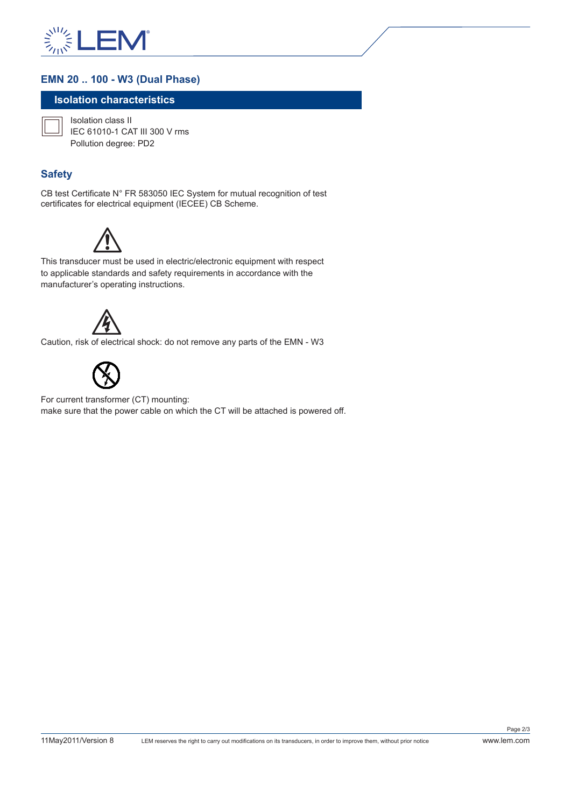

# **EMN 20 .. 100 - W3 (Dual Phase)**

### **Isolation characteristics**



Isolation class II IEC 61010-1 CAT III 300 V rms Pollution degree: PD2

# **Safety**

CB test Certificate N° FR 583050 IEC System for mutual recognition of test certificates for electrical equipment (IECEE) CB Scheme.



This transducer must be used in electric/electronic equipment with respect to applicable standards and safety requirements in accordance with the manufacturer's operating instructions.



Caution, risk of electrical shock: do not remove any parts of the EMN - W3



For current transformer (CT) mounting: make sure that the power cable on which the CT will be attached is powered off.